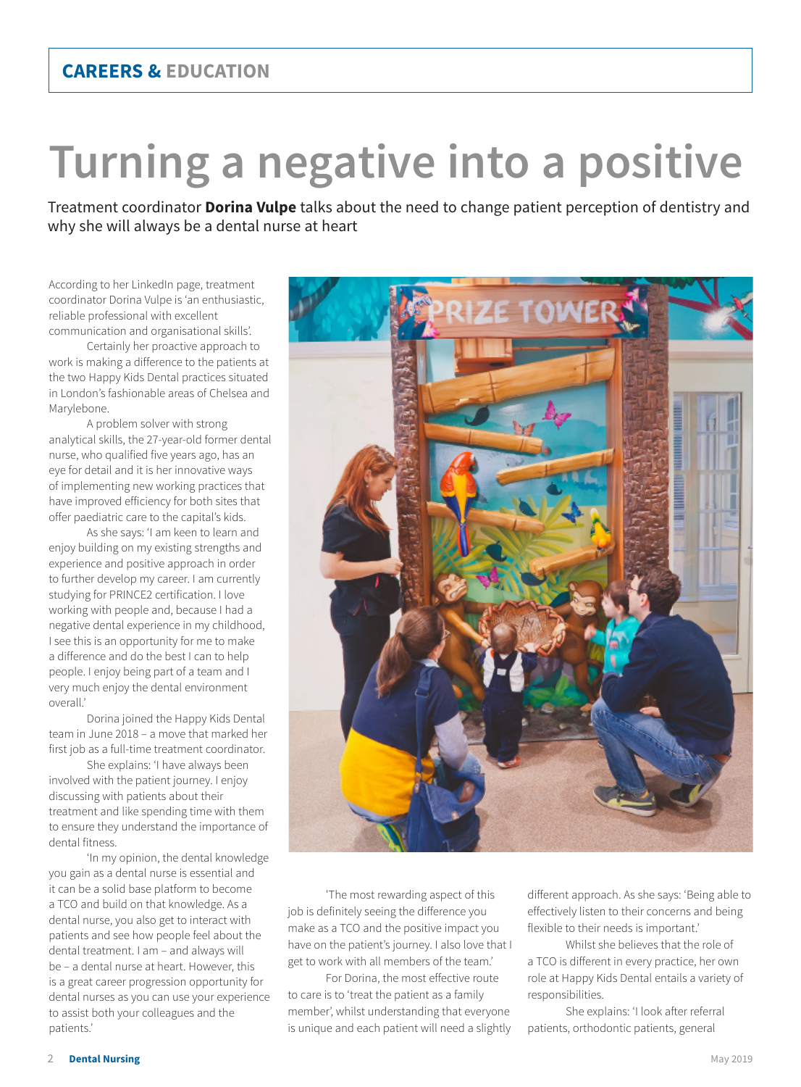# **Turning a negative into a positive**

Treatment coordinator **Dorina Vulpe** talks about the need to change patient perception of dentistry and why she will always be a dental nurse at heart

According to her LinkedIn page, treatment coordinator Dorina Vulpe is 'an enthusiastic, reliable professional with excellent communication and organisational skills'.

Certainly her proactive approach to work is making a difference to the patients at the two Happy Kids Dental practices situated in London's fashionable areas of Chelsea and Marylebone.

A problem solver with strong analytical skills, the 27-year-old former dental nurse, who qualified five years ago, has an eye for detail and it is her innovative ways of implementing new working practices that have improved efficiency for both sites that offer paediatric care to the capital's kids.

As she says: 'I am keen to learn and enjoy building on my existing strengths and experience and positive approach in order to further develop my career. I am currently studying for PRINCE2 certification. I love working with people and, because I had a negative dental experience in my childhood, I see this is an opportunity for me to make a difference and do the best I can to help people. I enjoy being part of a team and I very much enjoy the dental environment overall.'

Dorina joined the Happy Kids Dental team in June 2018 – a move that marked her first job as a full-time treatment coordinator.

She explains: 'I have always been involved with the patient journey. I enjoy discussing with patients about their treatment and like spending time with them to ensure they understand the importance of dental fitness.

'In my opinion, the dental knowledge you gain as a dental nurse is essential and it can be a solid base platform to become a TCO and build on that knowledge. As a dental nurse, you also get to interact with patients and see how people feel about the dental treatment. I am – and always will be – a dental nurse at heart. However, this is a great career progression opportunity for dental nurses as you can use your experience to assist both your colleagues and the patients.'



'The most rewarding aspect of this job is definitely seeing the difference you make as a TCO and the positive impact you have on the patient's journey. I also love that I get to work with all members of the team.'

For Dorina, the most effective route to care is to 'treat the patient as a family member', whilst understanding that everyone is unique and each patient will need a slightly different approach. As she says: 'Being able to effectively listen to their concerns and being flexible to their needs is important.'

Whilst she believes that the role of a TCO is different in every practice, her own role at Happy Kids Dental entails a variety of responsibilities.

She explains: 'I look after referral patients, orthodontic patients, general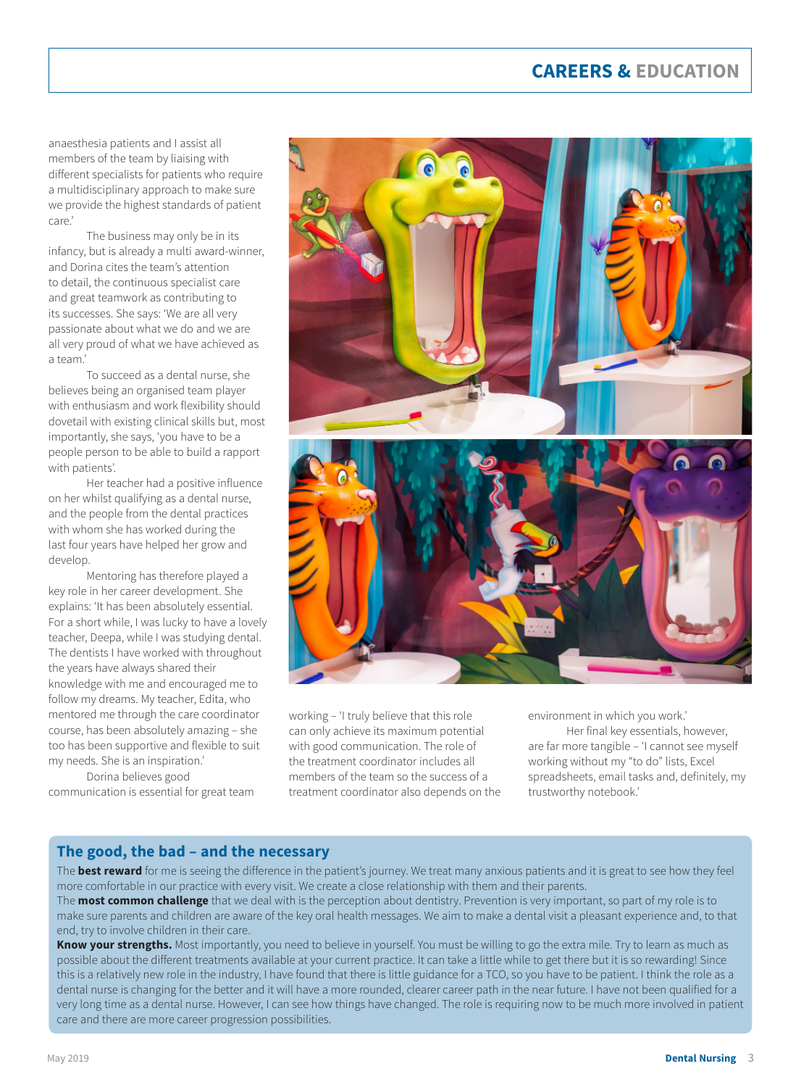## **CAREERS & EDUCATION**

anaesthesia patients and I assist all members of the team by liaising with different specialists for patients who require a multidisciplinary approach to make sure we provide the highest standards of patient care.'

The business may only be in its infancy, but is already a multi award-winner, and Dorina cites the team's attention to detail, the continuous specialist care and great teamwork as contributing to its successes. She says: 'We are all very passionate about what we do and we are all very proud of what we have achieved as a team.'

To succeed as a dental nurse, she believes being an organised team player with enthusiasm and work flexibility should dovetail with existing clinical skills but, most importantly, she says, 'you have to be a people person to be able to build a rapport with patients'.

Her teacher had a positive influence on her whilst qualifying as a dental nurse, and the people from the dental practices with whom she has worked during the last four years have helped her grow and develop.

Mentoring has therefore played a key role in her career development. She explains: 'It has been absolutely essential. For a short while, I was lucky to have a lovely teacher, Deepa, while I was studying dental. The dentists I have worked with throughout the years have always shared their knowledge with me and encouraged me to follow my dreams. My teacher, Edita, who mentored me through the care coordinator course, has been absolutely amazing – she too has been supportive and flexible to suit my needs. She is an inspiration.'

Dorina believes good communication is essential for great team



working – 'I truly believe that this role can only achieve its maximum potential with good communication. The role of the treatment coordinator includes all members of the team so the success of a treatment coordinator also depends on the environment in which you work.'

Her final key essentials, however, are far more tangible – 'I cannot see myself working without my "to do" lists, Excel spreadsheets, email tasks and, definitely, my trustworthy notebook.'

#### **The good, the bad – and the necessary**

The **best reward** for me is seeing the difference in the patient's journey. We treat many anxious patients and it is great to see how they feel more comfortable in our practice with every visit. We create a close relationship with them and their parents.

The **most common challenge** that we deal with is the perception about dentistry. Prevention is very important, so part of my role is to make sure parents and children are aware of the key oral health messages. We aim to make a dental visit a pleasant experience and, to that end, try to involve children in their care.

**Know your strengths.** Most importantly, you need to believe in yourself. You must be willing to go the extra mile. Try to learn as much as possible about the different treatments available at your current practice. It can take a little while to get there but it is so rewarding! Since this is a relatively new role in the industry, I have found that there is little guidance for a TCO, so you have to be patient. I think the role as a dental nurse is changing for the better and it will have a more rounded, clearer career path in the near future. I have not been qualified for a very long time as a dental nurse. However, I can see how things have changed. The role is requiring now to be much more involved in patient care and there are more career progression possibilities.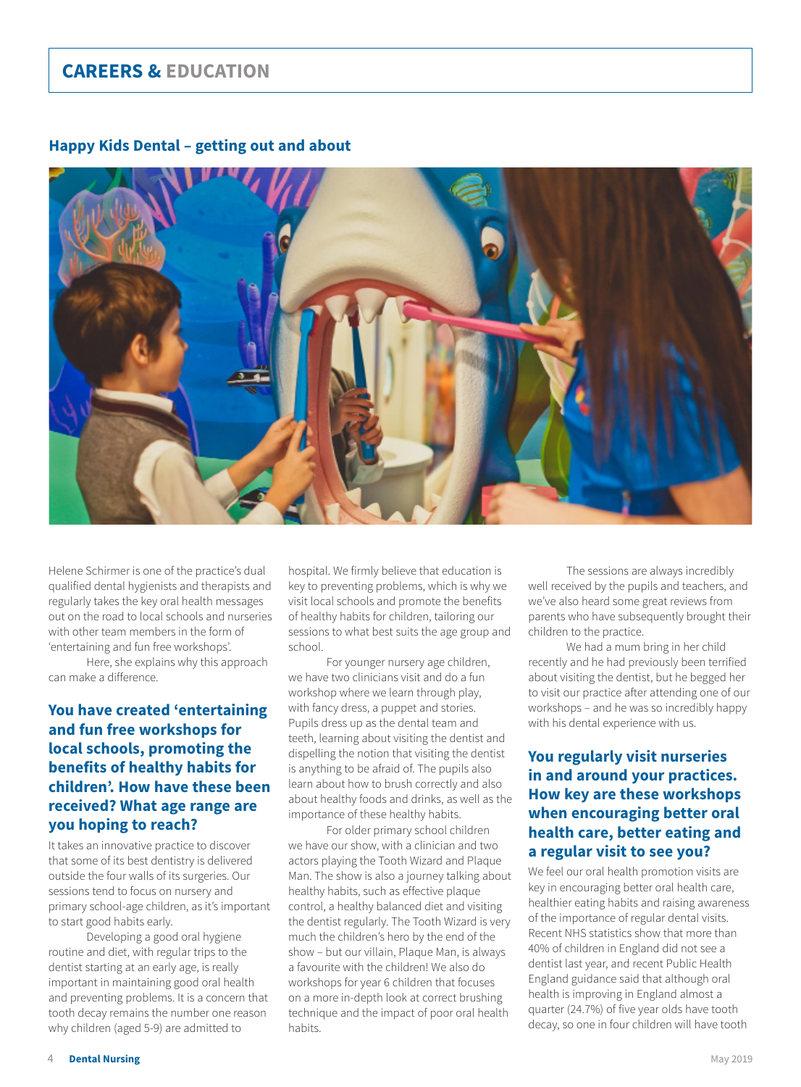## **CAREERS & EDUCATION**

#### **Happy Kids Dental – getting out and about**



Helene Schirmer is one of the practice's dual qualified dental hygienists and therapists and regularly takes the key oral health messages out on the road to local schools and nurseries with other team members in the form of 'entertaining and fun free workshops'.

Here, she explains why this approach can make a difference.

#### **You have created 'entertaining and fun free workshops for local schools, promoting the benefits of healthy habits for children'. How have these been received? What age range are you hoping to reach?**

It takes an innovative practice to discover that some of its best dentistry is delivered outside the four walls of its surgeries. Our sessions tend to focus on nursery and primary school-age children, as it's important to start good habits early.

Developing a good oral hygiene routine and diet, with regular trips to the dentist starting at an early age, is really important in maintaining good oral health and preventing problems. It is a concern that tooth decay remains the number one reason why children (aged 5-9) are admitted to

hospital. We firmly believe that education is key to preventing problems, which is why we visit local schools and promote the benefits of healthy habits for children, tailoring our sessions to what best suits the age group and school.

For younger nursery age children, we have two clinicians visit and do a fun workshop where we learn through play, with fancy dress, a puppet and stories. Pupils dress up as the dental team and teeth, learning about visiting the dentist and dispelling the notion that visiting the dentist is anything to be afraid of. The pupils also learn about how to brush correctly and also about healthy foods and drinks, as well as the importance of these healthy habits.

For older primary school children we have our show, with a clinician and two actors playing the Tooth Wizard and Plaque Man. The show is also a journey talking about healthy habits, such as effective plaque control, a healthy balanced diet and visiting the dentist regularly. The Tooth Wizard is very much the children's hero by the end of the show – but our villain, Plaque Man, is always a favourite with the children! We also do workshops for year 6 children that focuses on a more in-depth look at correct brushing technique and the impact of poor oral health habits.

The sessions are always incredibly well received by the pupils and teachers, and we've also heard some great reviews from parents who have subsequently brought their children to the practice.

We had a mum bring in her child recently and he had previously been terrified about visiting the dentist, but he begged her to visit our practice after attending one of our workshops – and he was so incredibly happy with his dental experience with us.

## **You regularly visit nurseries in and around your practices. How key are these workshops when encouraging better oral health care, better eating and a regular visit to see you?**

We feel our oral health promotion visits are key in encouraging better oral health care, healthier eating habits and raising awareness of the importance of regular dental visits. Recent NHS statistics show that more than 40% of children in England did not see a dentist last year, and recent Public Health England guidance said that although oral health is improving in England almost a quarter (24.7%) of five year olds have tooth decay, so one in four children will have tooth